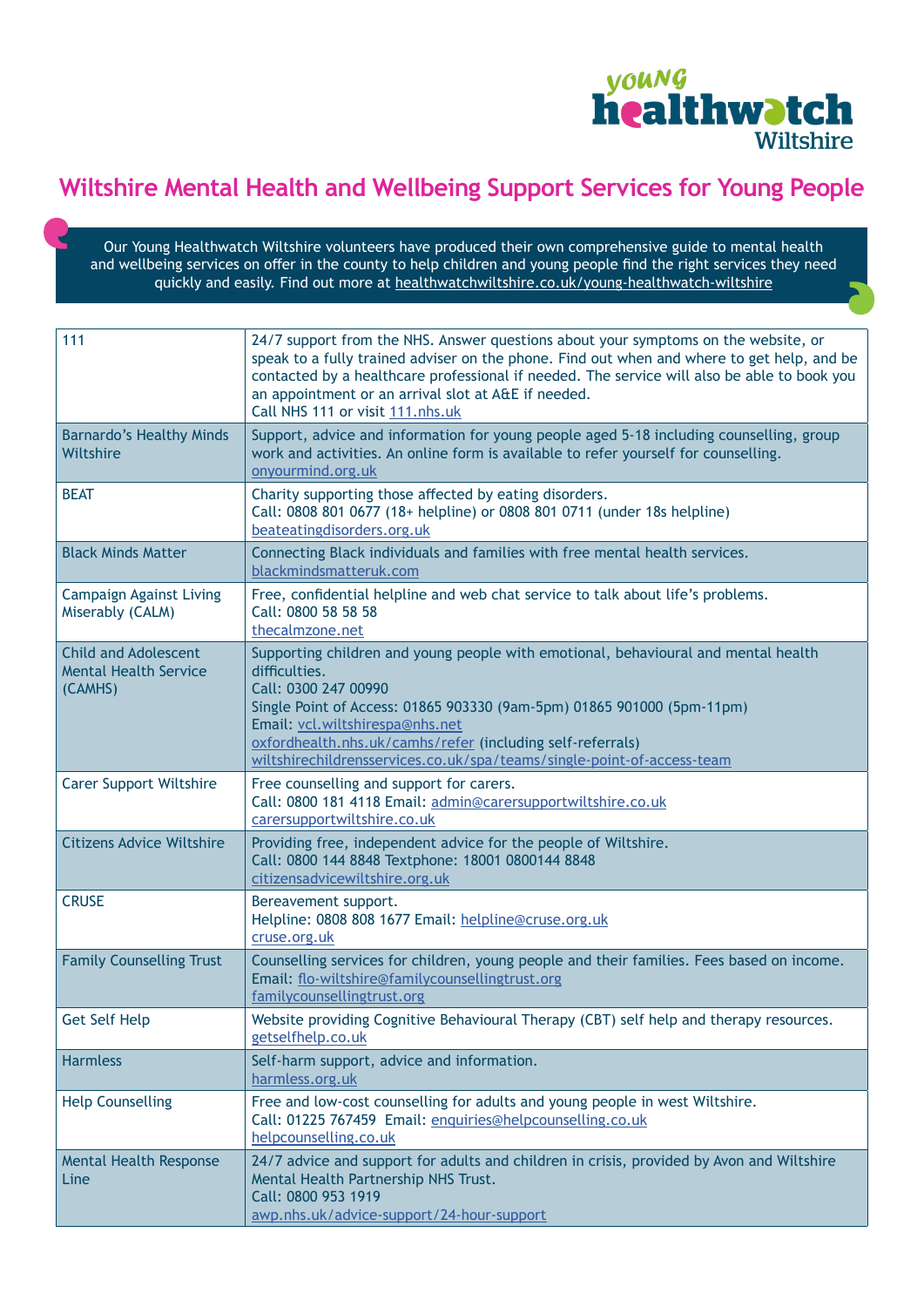

## **Wiltshire Mental Health and Wellbeing Support Services for Young People**

Our Young Healthwatch Wiltshire volunteers have produced their own comprehensive guide to mental health and wellbeing services on offer in the county to help children and young people find the right services they need quickly and easily. Find out more at [healthwatchwiltshire.co.uk/young-healthwatch-wiltshire](https://www.healthwatchwiltshire.co.uk/young-healthwatch-wiltshire)

| 111                                                                    | 24/7 support from the NHS. Answer questions about your symptoms on the website, or<br>speak to a fully trained adviser on the phone. Find out when and where to get help, and be<br>contacted by a healthcare professional if needed. The service will also be able to book you<br>an appointment or an arrival slot at A&E if needed.<br>Call NHS 111 or visit 111.nhs.uk       |
|------------------------------------------------------------------------|----------------------------------------------------------------------------------------------------------------------------------------------------------------------------------------------------------------------------------------------------------------------------------------------------------------------------------------------------------------------------------|
| <b>Barnardo's Healthy Minds</b><br>Wiltshire                           | Support, advice and information for young people aged 5-18 including counselling, group<br>work and activities. An online form is available to refer yourself for counselling.<br>onyourmind.org.uk                                                                                                                                                                              |
| <b>BEAT</b>                                                            | Charity supporting those affected by eating disorders.<br>Call: 0808 801 0677 (18+ helpline) or 0808 801 0711 (under 18s helpline)<br>beateatingdisorders.org.uk                                                                                                                                                                                                                 |
| <b>Black Minds Matter</b>                                              | Connecting Black individuals and families with free mental health services.<br>blackmindsmatteruk.com                                                                                                                                                                                                                                                                            |
| <b>Campaign Against Living</b><br>Miserably (CALM)                     | Free, confidential helpline and web chat service to talk about life's problems.<br>Call: 0800 58 58 58<br>thecalmzone.net                                                                                                                                                                                                                                                        |
| <b>Child and Adolescent</b><br><b>Mental Health Service</b><br>(CAMHS) | Supporting children and young people with emotional, behavioural and mental health<br>difficulties.<br>Call: 0300 247 00990<br>Single Point of Access: 01865 903330 (9am-5pm) 01865 901000 (5pm-11pm)<br>Email: vcl.wiltshirespa@nhs.net<br>oxfordhealth.nhs.uk/camhs/refer (including self-referrals)<br>wiltshirechildrensservices.co.uk/spa/teams/single-point-of-access-team |
| <b>Carer Support Wiltshire</b>                                         | Free counselling and support for carers.<br>Call: 0800 181 4118 Email: admin@carersupportwiltshire.co.uk<br>carersupportwiltshire.co.uk                                                                                                                                                                                                                                          |
| <b>Citizens Advice Wiltshire</b>                                       | Providing free, independent advice for the people of Wiltshire.<br>Call: 0800 144 8848 Textphone: 18001 0800144 8848<br>citizensadvicewiltshire.org.uk                                                                                                                                                                                                                           |
| <b>CRUSE</b>                                                           | Bereavement support.<br>Helpline: 0808 808 1677 Email: helpline@cruse.org.uk<br>cruse.org.uk                                                                                                                                                                                                                                                                                     |
| <b>Family Counselling Trust</b>                                        | Counselling services for children, young people and their families. Fees based on income.<br>Email: flo-wiltshire@familycounsellingtrust.org<br>familycounsellingtrust.org                                                                                                                                                                                                       |
| <b>Get Self Help</b>                                                   | Website providing Cognitive Behavioural Therapy (CBT) self help and therapy resources.<br>getselfhelp.co.uk                                                                                                                                                                                                                                                                      |
| <b>Harmless</b>                                                        | Self-harm support, advice and information.<br>harmless.org.uk                                                                                                                                                                                                                                                                                                                    |
| <b>Help Counselling</b>                                                | Free and low-cost counselling for adults and young people in west Wiltshire.<br>Call: 01225 767459 Email: enquiries@helpcounselling.co.uk<br>helpcounselling.co.uk                                                                                                                                                                                                               |
| Mental Health Response<br>Line                                         | 24/7 advice and support for adults and children in crisis, provided by Avon and Wiltshire<br>Mental Health Partnership NHS Trust.<br>Call: 0800 953 1919<br>awp.nhs.uk/advice-support/24-hour-support                                                                                                                                                                            |